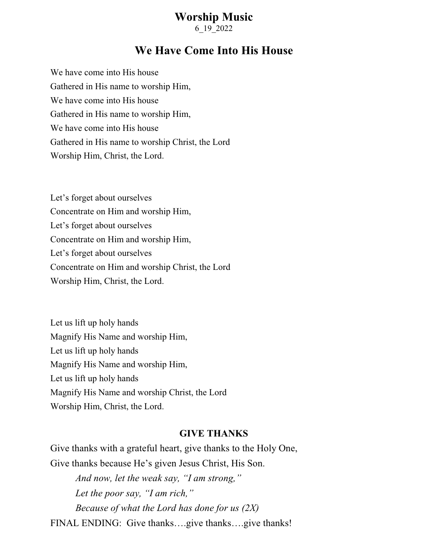## **Worship Music**

6\_19\_2022

## **We Have Come Into His House**

We have come into His house Gathered in His name to worship Him, We have come into His house Gathered in His name to worship Him, We have come into His house Gathered in His name to worship Christ, the Lord Worship Him, Christ, the Lord.

Let's forget about ourselves Concentrate on Him and worship Him, Let's forget about ourselves Concentrate on Him and worship Him, Let's forget about ourselves Concentrate on Him and worship Christ, the Lord Worship Him, Christ, the Lord.

Let us lift up holy hands Magnify His Name and worship Him, Let us lift up holy hands Magnify His Name and worship Him, Let us lift up holy hands Magnify His Name and worship Christ, the Lord Worship Him, Christ, the Lord.

## **GIVE THANKS**

Give thanks with a grateful heart, give thanks to the Holy One, Give thanks because He's given Jesus Christ, His Son. *And now, let the weak say, "I am strong," Let the poor say, "I am rich," Because of what the Lord has done for us (2X)* FINAL ENDING: Give thanks….give thanks….give thanks!